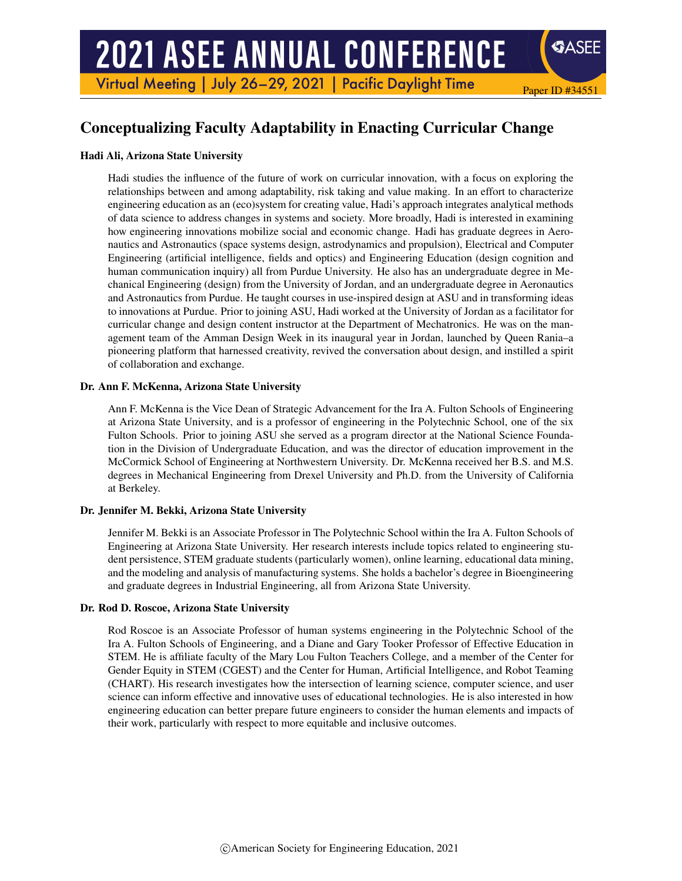# **2021 ASEE ANNUAL CONFERENCE**

Virtual Meeting | July 26-29, 2021 | Pacific Daylight Time

## Conceptualizing Faculty Adaptability in Enacting Curricular Change

Paper ID #34551

**SASEE** 

## Hadi Ali, Arizona State University

Hadi studies the influence of the future of work on curricular innovation, with a focus on exploring the relationships between and among adaptability, risk taking and value making. In an effort to characterize engineering education as an (eco)system for creating value, Hadi's approach integrates analytical methods of data science to address changes in systems and society. More broadly, Hadi is interested in examining how engineering innovations mobilize social and economic change. Hadi has graduate degrees in Aeronautics and Astronautics (space systems design, astrodynamics and propulsion), Electrical and Computer Engineering (artificial intelligence, fields and optics) and Engineering Education (design cognition and human communication inquiry) all from Purdue University. He also has an undergraduate degree in Mechanical Engineering (design) from the University of Jordan, and an undergraduate degree in Aeronautics and Astronautics from Purdue. He taught courses in use-inspired design at ASU and in transforming ideas to innovations at Purdue. Prior to joining ASU, Hadi worked at the University of Jordan as a facilitator for curricular change and design content instructor at the Department of Mechatronics. He was on the management team of the Amman Design Week in its inaugural year in Jordan, launched by Queen Rania–a pioneering platform that harnessed creativity, revived the conversation about design, and instilled a spirit of collaboration and exchange.

#### Dr. Ann F. McKenna, Arizona State University

Ann F. McKenna is the Vice Dean of Strategic Advancement for the Ira A. Fulton Schools of Engineering at Arizona State University, and is a professor of engineering in the Polytechnic School, one of the six Fulton Schools. Prior to joining ASU she served as a program director at the National Science Foundation in the Division of Undergraduate Education, and was the director of education improvement in the McCormick School of Engineering at Northwestern University. Dr. McKenna received her B.S. and M.S. degrees in Mechanical Engineering from Drexel University and Ph.D. from the University of California at Berkeley.

## Dr. Jennifer M. Bekki, Arizona State University

Jennifer M. Bekki is an Associate Professor in The Polytechnic School within the Ira A. Fulton Schools of Engineering at Arizona State University. Her research interests include topics related to engineering student persistence, STEM graduate students (particularly women), online learning, educational data mining, and the modeling and analysis of manufacturing systems. She holds a bachelor's degree in Bioengineering and graduate degrees in Industrial Engineering, all from Arizona State University.

#### Dr. Rod D. Roscoe, Arizona State University

Rod Roscoe is an Associate Professor of human systems engineering in the Polytechnic School of the Ira A. Fulton Schools of Engineering, and a Diane and Gary Tooker Professor of Effective Education in STEM. He is affiliate faculty of the Mary Lou Fulton Teachers College, and a member of the Center for Gender Equity in STEM (CGEST) and the Center for Human, Artificial Intelligence, and Robot Teaming (CHART). His research investigates how the intersection of learning science, computer science, and user science can inform effective and innovative uses of educational technologies. He is also interested in how engineering education can better prepare future engineers to consider the human elements and impacts of their work, particularly with respect to more equitable and inclusive outcomes.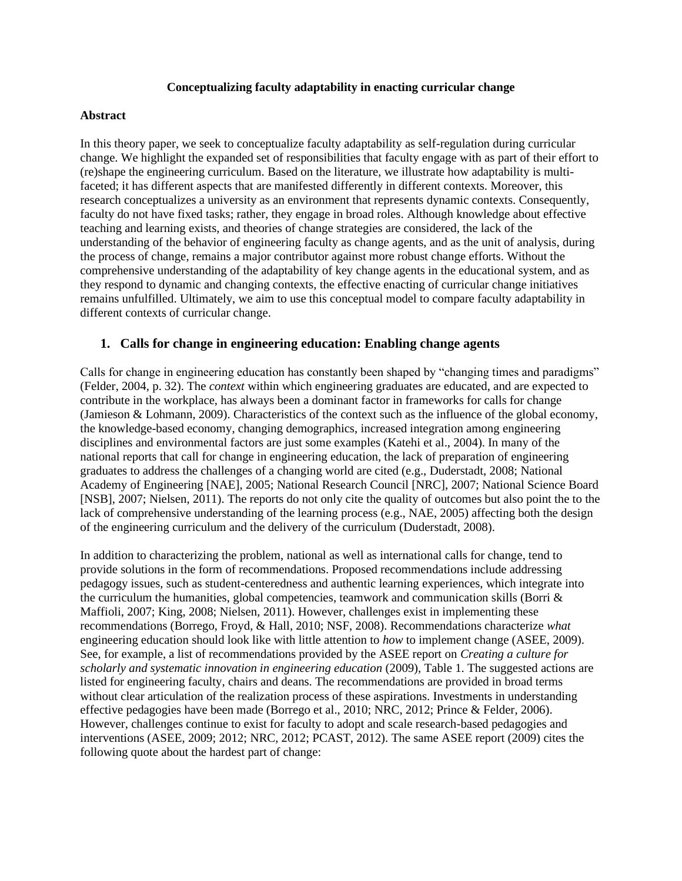## **Conceptualizing faculty adaptability in enacting curricular change**

## **Abstract**

In this theory paper, we seek to conceptualize faculty adaptability as self-regulation during curricular change. We highlight the expanded set of responsibilities that faculty engage with as part of their effort to (re)shape the engineering curriculum. Based on the literature, we illustrate how adaptability is multifaceted; it has different aspects that are manifested differently in different contexts. Moreover, this research conceptualizes a university as an environment that represents dynamic contexts. Consequently, faculty do not have fixed tasks; rather, they engage in broad roles. Although knowledge about effective teaching and learning exists, and theories of change strategies are considered, the lack of the understanding of the behavior of engineering faculty as change agents, and as the unit of analysis, during the process of change, remains a major contributor against more robust change efforts. Without the comprehensive understanding of the adaptability of key change agents in the educational system, and as they respond to dynamic and changing contexts, the effective enacting of curricular change initiatives remains unfulfilled. Ultimately, we aim to use this conceptual model to compare faculty adaptability in different contexts of curricular change.

## **1. Calls for change in engineering education: Enabling change agents**

Calls for change in engineering education has constantly been shaped by "changing times and paradigms" (Felder, 2004, p. 32). The *context* within which engineering graduates are educated, and are expected to contribute in the workplace, has always been a dominant factor in frameworks for calls for change (Jamieson & Lohmann, 2009). Characteristics of the context such as the influence of the global economy, the knowledge-based economy, changing demographics, increased integration among engineering disciplines and environmental factors are just some examples (Katehi et al., 2004). In many of the national reports that call for change in engineering education, the lack of preparation of engineering graduates to address the challenges of a changing world are cited (e.g., Duderstadt, 2008; National Academy of Engineering [NAE], 2005; National Research Council [NRC], 2007; National Science Board [NSB], 2007; Nielsen, 2011). The reports do not only cite the quality of outcomes but also point the to the lack of comprehensive understanding of the learning process (e.g., NAE, 2005) affecting both the design of the engineering curriculum and the delivery of the curriculum (Duderstadt, 2008).

In addition to characterizing the problem, national as well as international calls for change, tend to provide solutions in the form of recommendations. Proposed recommendations include addressing pedagogy issues, such as student-centeredness and authentic learning experiences, which integrate into the curriculum the humanities, global competencies, teamwork and communication skills (Borri & Maffioli, 2007; King, 2008; Nielsen, 2011). However, challenges exist in implementing these recommendations (Borrego, Froyd, & Hall, 2010; NSF, 2008). Recommendations characterize *what* engineering education should look like with little attention to *how* to implement change (ASEE, 2009). See, for example, a list of recommendations provided by the ASEE report on *Creating a culture for scholarly and systematic innovation in engineering education* (2009), Table 1. The suggested actions are listed for engineering faculty, chairs and deans. The recommendations are provided in broad terms without clear articulation of the realization process of these aspirations. Investments in understanding effective pedagogies have been made (Borrego et al., 2010; NRC, 2012; Prince & Felder, 2006). However, challenges continue to exist for faculty to adopt and scale research-based pedagogies and interventions (ASEE, 2009; 2012; NRC, 2012; PCAST, 2012). The same ASEE report (2009) cites the following quote about the hardest part of change: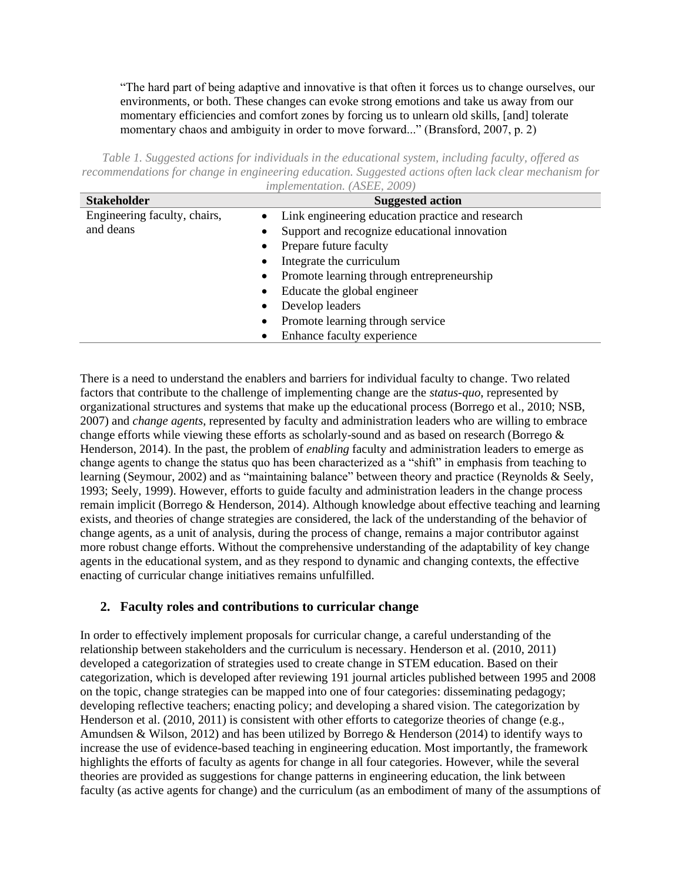"The hard part of being adaptive and innovative is that often it forces us to change ourselves, our environments, or both. These changes can evoke strong emotions and take us away from our momentary efficiencies and comfort zones by forcing us to unlearn old skills, [and] tolerate momentary chaos and ambiguity in order to move forward..." (Bransford, 2007, p. 2)

*Table 1. Suggested actions for individuals in the educational system, including faculty, offered as recommendations for change in engineering education. Suggested actions often lack clear mechanism for implementation. (ASEE, 2009)*

| <b>Stakeholder</b>           | <b>Suggested action</b>                                       |
|------------------------------|---------------------------------------------------------------|
| Engineering faculty, chairs, | Link engineering education practice and research<br>$\bullet$ |
| and deans                    | Support and recognize educational innovation<br>$\bullet$     |
|                              | Prepare future faculty<br>$\bullet$                           |
|                              | Integrate the curriculum<br>$\bullet$                         |
|                              | Promote learning through entrepreneurship<br>$\bullet$        |
|                              | Educate the global engineer<br>$\bullet$                      |
|                              | Develop leaders<br>٠                                          |
|                              | Promote learning through service<br>$\bullet$                 |
|                              | Enhance faculty experience                                    |

There is a need to understand the enablers and barriers for individual faculty to change. Two related factors that contribute to the challenge of implementing change are the *status-quo*, represented by organizational structures and systems that make up the educational process (Borrego et al., 2010; NSB, 2007) and *change agents*, represented by faculty and administration leaders who are willing to embrace change efforts while viewing these efforts as scholarly-sound and as based on research (Borrego & Henderson, 2014). In the past, the problem of *enabling* faculty and administration leaders to emerge as change agents to change the status quo has been characterized as a "shift" in emphasis from teaching to learning (Seymour, 2002) and as "maintaining balance" between theory and practice (Reynolds & Seely, 1993; Seely, 1999). However, efforts to guide faculty and administration leaders in the change process remain implicit (Borrego & Henderson, 2014). Although knowledge about effective teaching and learning exists, and theories of change strategies are considered, the lack of the understanding of the behavior of change agents, as a unit of analysis, during the process of change, remains a major contributor against more robust change efforts. Without the comprehensive understanding of the adaptability of key change agents in the educational system, and as they respond to dynamic and changing contexts, the effective enacting of curricular change initiatives remains unfulfilled.

## **2. Faculty roles and contributions to curricular change**

In order to effectively implement proposals for curricular change, a careful understanding of the relationship between stakeholders and the curriculum is necessary. Henderson et al. (2010, 2011) developed a categorization of strategies used to create change in STEM education. Based on their categorization, which is developed after reviewing 191 journal articles published between 1995 and 2008 on the topic, change strategies can be mapped into one of four categories: disseminating pedagogy; developing reflective teachers; enacting policy; and developing a shared vision. The categorization by Henderson et al. (2010, 2011) is consistent with other efforts to categorize theories of change (e.g., Amundsen & Wilson, 2012) and has been utilized by Borrego & Henderson (2014) to identify ways to increase the use of evidence-based teaching in engineering education. Most importantly, the framework highlights the efforts of faculty as agents for change in all four categories. However, while the several theories are provided as suggestions for change patterns in engineering education, the link between faculty (as active agents for change) and the curriculum (as an embodiment of many of the assumptions of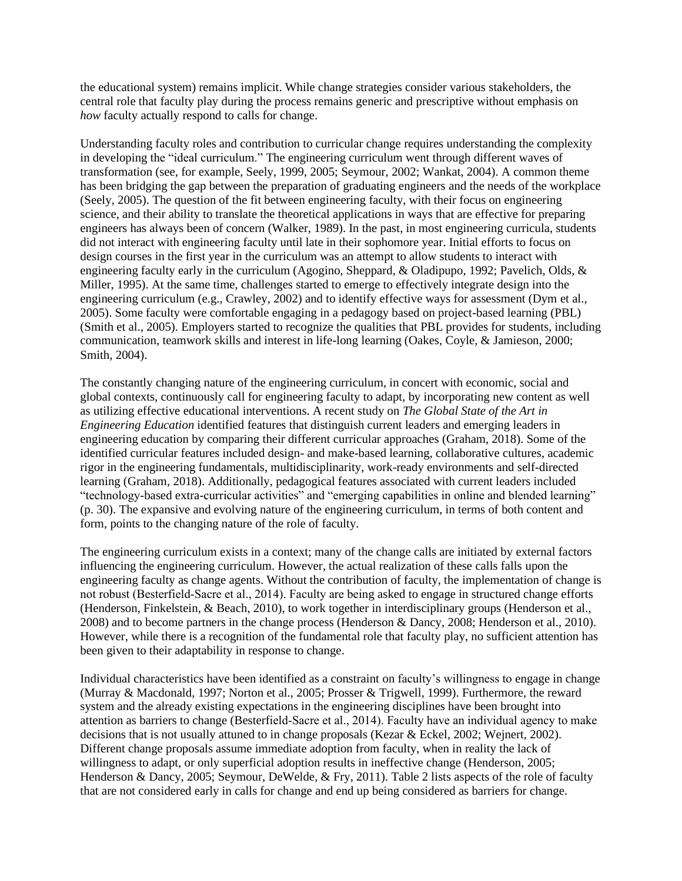the educational system) remains implicit. While change strategies consider various stakeholders, the central role that faculty play during the process remains generic and prescriptive without emphasis on *how* faculty actually respond to calls for change.

Understanding faculty roles and contribution to curricular change requires understanding the complexity in developing the "ideal curriculum." The engineering curriculum went through different waves of transformation (see, for example, Seely, 1999, 2005; Seymour, 2002; Wankat, 2004). A common theme has been bridging the gap between the preparation of graduating engineers and the needs of the workplace (Seely, 2005). The question of the fit between engineering faculty, with their focus on engineering science, and their ability to translate the theoretical applications in ways that are effective for preparing engineers has always been of concern (Walker, 1989). In the past, in most engineering curricula, students did not interact with engineering faculty until late in their sophomore year. Initial efforts to focus on design courses in the first year in the curriculum was an attempt to allow students to interact with engineering faculty early in the curriculum (Agogino, Sheppard, & Oladipupo, 1992; Pavelich, Olds, & Miller, 1995). At the same time, challenges started to emerge to effectively integrate design into the engineering curriculum (e.g., Crawley, 2002) and to identify effective ways for assessment (Dym et al., 2005). Some faculty were comfortable engaging in a pedagogy based on project-based learning (PBL) (Smith et al., 2005). Employers started to recognize the qualities that PBL provides for students, including communication, teamwork skills and interest in life-long learning (Oakes, Coyle, & Jamieson, 2000; Smith, 2004).

The constantly changing nature of the engineering curriculum, in concert with economic, social and global contexts, continuously call for engineering faculty to adapt, by incorporating new content as well as utilizing effective educational interventions. A recent study on *The Global State of the Art in Engineering Education* identified features that distinguish current leaders and emerging leaders in engineering education by comparing their different curricular approaches (Graham, 2018). Some of the identified curricular features included design- and make-based learning, collaborative cultures, academic rigor in the engineering fundamentals, multidisciplinarity, work-ready environments and self-directed learning (Graham, 2018). Additionally, pedagogical features associated with current leaders included "technology-based extra-curricular activities" and "emerging capabilities in online and blended learning" (p. 30). The expansive and evolving nature of the engineering curriculum, in terms of both content and form, points to the changing nature of the role of faculty.

The engineering curriculum exists in a context; many of the change calls are initiated by external factors influencing the engineering curriculum. However, the actual realization of these calls falls upon the engineering faculty as change agents. Without the contribution of faculty, the implementation of change is not robust (Besterfield‐Sacre et al., 2014). Faculty are being asked to engage in structured change efforts (Henderson, Finkelstein, & Beach, 2010), to work together in interdisciplinary groups (Henderson et al., 2008) and to become partners in the change process (Henderson & Dancy, 2008; Henderson et al., 2010). However, while there is a recognition of the fundamental role that faculty play, no sufficient attention has been given to their adaptability in response to change.

Individual characteristics have been identified as a constraint on faculty's willingness to engage in change (Murray & Macdonald, 1997; Norton et al., 2005; Prosser & Trigwell, 1999). Furthermore, the reward system and the already existing expectations in the engineering disciplines have been brought into attention as barriers to change (Besterfield‐Sacre et al., 2014). Faculty have an individual agency to make decisions that is not usually attuned to in change proposals (Kezar & Eckel, 2002; Wejnert, 2002). Different change proposals assume immediate adoption from faculty, when in reality the lack of willingness to adapt, or only superficial adoption results in ineffective change (Henderson, 2005; Henderson & Dancy, 2005; Seymour, DeWelde, & Fry, 2011). Table 2 lists aspects of the role of faculty that are not considered early in calls for change and end up being considered as barriers for change.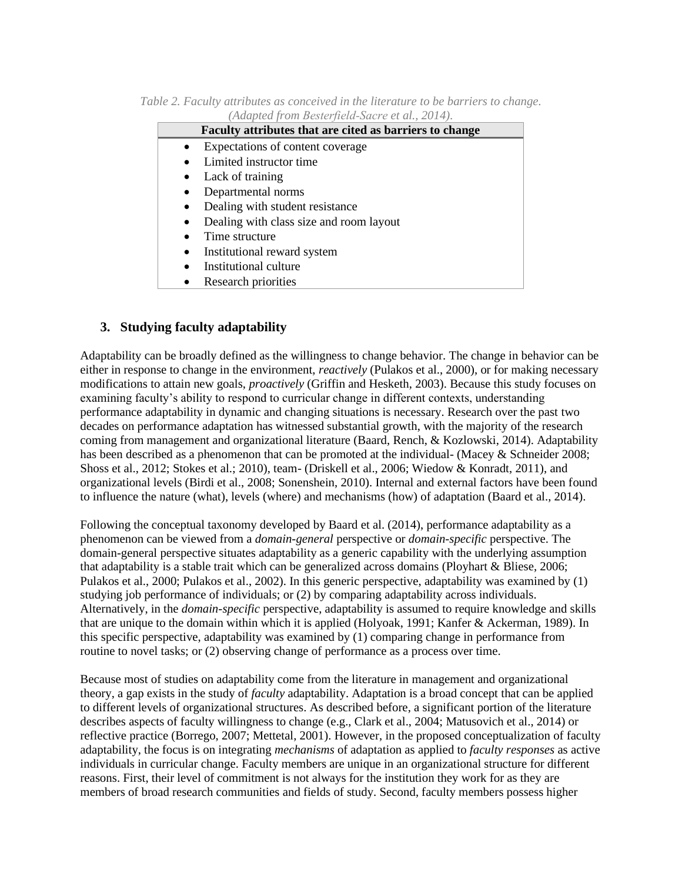*Table 2. Faculty attributes as conceived in the literature to be barriers to change. (Adapted from Besterfield‐Sacre et al., 2014).*

| Faculty attributes that are cited as barriers to change |
|---------------------------------------------------------|
| Expectations of content coverage                        |
| Limited instructor time                                 |
| Lack of training                                        |
| Departmental norms<br>$\bullet$                         |
| Dealing with student resistance                         |
| Dealing with class size and room layout                 |
| Time structure                                          |
| Institutional reward system<br>$\bullet$                |
| Institutional culture                                   |
| Research priorities                                     |

## **3. Studying faculty adaptability**

Adaptability can be broadly defined as the willingness to change behavior. The change in behavior can be either in response to change in the environment, *reactively* (Pulakos et al., 2000), or for making necessary modifications to attain new goals, *proactively* (Griffin and Hesketh, 2003). Because this study focuses on examining faculty's ability to respond to curricular change in different contexts, understanding performance adaptability in dynamic and changing situations is necessary. Research over the past two decades on performance adaptation has witnessed substantial growth, with the majority of the research coming from management and organizational literature (Baard, Rench, & Kozlowski, 2014). Adaptability has been described as a phenomenon that can be promoted at the individual- (Macey & Schneider 2008; Shoss et al., 2012; Stokes et al.; 2010), team- (Driskell et al., 2006; Wiedow & Konradt, 2011), and organizational levels (Birdi et al., 2008; Sonenshein, 2010). Internal and external factors have been found to influence the nature (what), levels (where) and mechanisms (how) of adaptation (Baard et al., 2014).

Following the conceptual taxonomy developed by Baard et al. (2014), performance adaptability as a phenomenon can be viewed from a *domain-general* perspective or *domain-specific* perspective. The domain-general perspective situates adaptability as a generic capability with the underlying assumption that adaptability is a stable trait which can be generalized across domains (Ployhart & Bliese, 2006; Pulakos et al., 2000; Pulakos et al., 2002). In this generic perspective, adaptability was examined by (1) studying job performance of individuals; or (2) by comparing adaptability across individuals. Alternatively, in the *domain-specific* perspective, adaptability is assumed to require knowledge and skills that are unique to the domain within which it is applied (Holyoak, 1991; Kanfer & Ackerman, 1989). In this specific perspective, adaptability was examined by (1) comparing change in performance from routine to novel tasks; or (2) observing change of performance as a process over time.

Because most of studies on adaptability come from the literature in management and organizational theory, a gap exists in the study of *faculty* adaptability. Adaptation is a broad concept that can be applied to different levels of organizational structures. As described before, a significant portion of the literature describes aspects of faculty willingness to change (e.g., Clark et al., 2004; Matusovich et al., 2014) or reflective practice (Borrego, 2007; Mettetal, 2001). However, in the proposed conceptualization of faculty adaptability, the focus is on integrating *mechanisms* of adaptation as applied to *faculty responses* as active individuals in curricular change. Faculty members are unique in an organizational structure for different reasons. First, their level of commitment is not always for the institution they work for as they are members of broad research communities and fields of study. Second, faculty members possess higher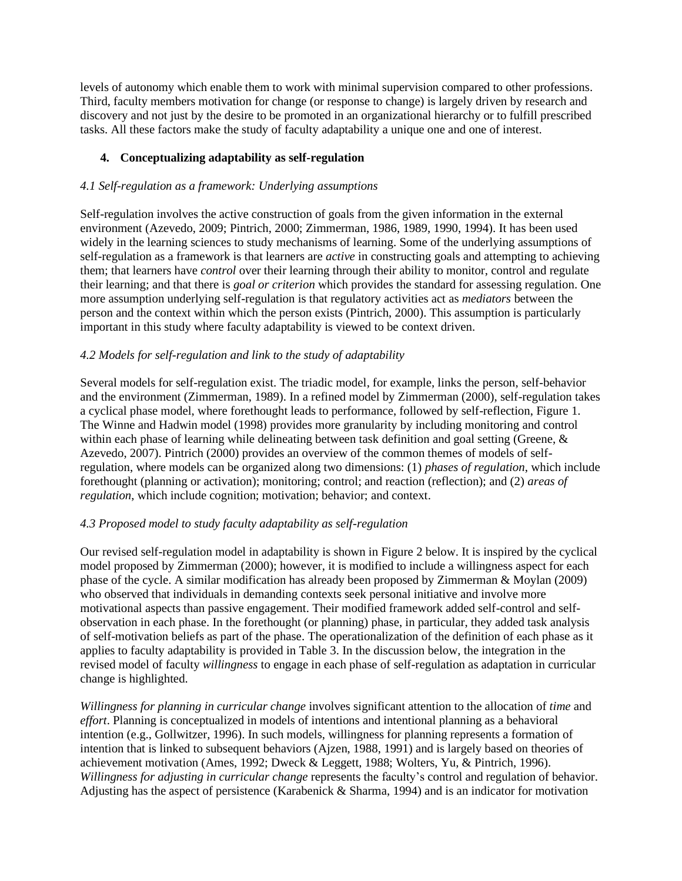levels of autonomy which enable them to work with minimal supervision compared to other professions. Third, faculty members motivation for change (or response to change) is largely driven by research and discovery and not just by the desire to be promoted in an organizational hierarchy or to fulfill prescribed tasks. All these factors make the study of faculty adaptability a unique one and one of interest.

## **4. Conceptualizing adaptability as self-regulation**

## *4.1 Self-regulation as a framework: Underlying assumptions*

Self-regulation involves the active construction of goals from the given information in the external environment (Azevedo, 2009; Pintrich, 2000; Zimmerman, 1986, 1989, 1990, 1994). It has been used widely in the learning sciences to study mechanisms of learning. Some of the underlying assumptions of self-regulation as a framework is that learners are *active* in constructing goals and attempting to achieving them; that learners have *control* over their learning through their ability to monitor, control and regulate their learning; and that there is *goal or criterion* which provides the standard for assessing regulation. One more assumption underlying self-regulation is that regulatory activities act as *mediators* between the person and the context within which the person exists (Pintrich, 2000). This assumption is particularly important in this study where faculty adaptability is viewed to be context driven.

## *4.2 Models for self-regulation and link to the study of adaptability*

Several models for self-regulation exist. The triadic model, for example, links the person, self-behavior and the environment (Zimmerman, 1989). In a refined model by Zimmerman (2000), self-regulation takes a cyclical phase model, where forethought leads to performance, followed by self-reflection, Figure 1. The Winne and Hadwin model (1998) provides more granularity by including monitoring and control within each phase of learning while delineating between task definition and goal setting (Greene, & Azevedo, 2007). Pintrich (2000) provides an overview of the common themes of models of selfregulation, where models can be organized along two dimensions: (1) *phases of regulation*, which include forethought (planning or activation); monitoring; control; and reaction (reflection); and (2) *areas of regulation*, which include cognition; motivation; behavior; and context.

## *4.3 Proposed model to study faculty adaptability as self-regulation*

Our revised self-regulation model in adaptability is shown in Figure 2 below. It is inspired by the cyclical model proposed by Zimmerman (2000); however, it is modified to include a willingness aspect for each phase of the cycle. A similar modification has already been proposed by Zimmerman & Moylan (2009) who observed that individuals in demanding contexts seek personal initiative and involve more motivational aspects than passive engagement. Their modified framework added self-control and selfobservation in each phase. In the forethought (or planning) phase, in particular, they added task analysis of self-motivation beliefs as part of the phase. The operationalization of the definition of each phase as it applies to faculty adaptability is provided in Table 3. In the discussion below, the integration in the revised model of faculty *willingness* to engage in each phase of self-regulation as adaptation in curricular change is highlighted.

*Willingness for planning in curricular change* involves significant attention to the allocation of *time* and *effort*. Planning is conceptualized in models of intentions and intentional planning as a behavioral intention (e.g., Gollwitzer, 1996). In such models, willingness for planning represents a formation of intention that is linked to subsequent behaviors (Ajzen, 1988, 1991) and is largely based on theories of achievement motivation (Ames, 1992; Dweck & Leggett, 1988; Wolters, Yu, & Pintrich, 1996). *Willingness for adjusting in curricular change* represents the faculty's control and regulation of behavior. Adjusting has the aspect of persistence (Karabenick & Sharma, 1994) and is an indicator for motivation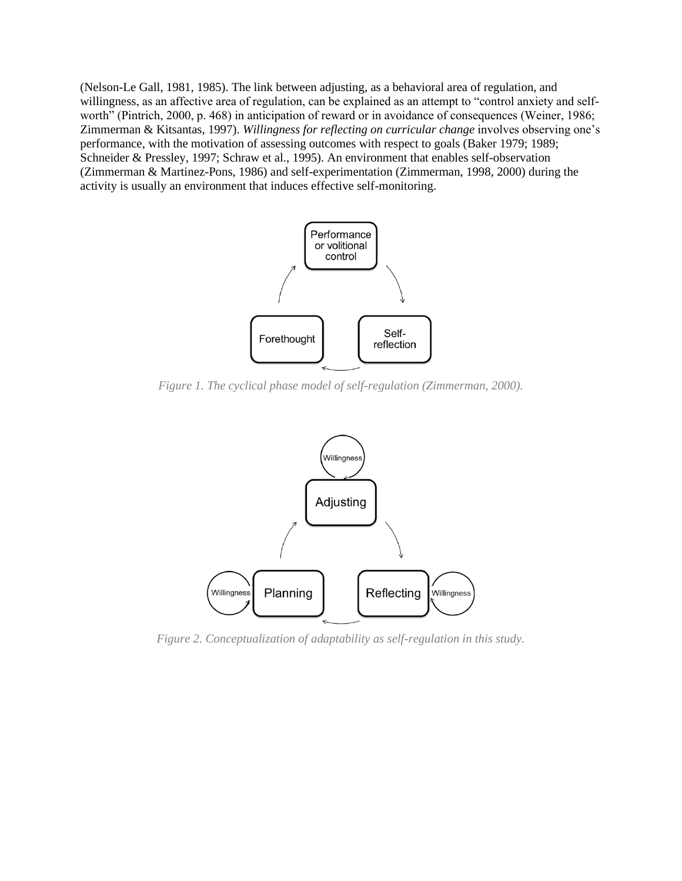(Nelson-Le Gall, 1981, 1985). The link between adjusting, as a behavioral area of regulation, and willingness, as an affective area of regulation, can be explained as an attempt to "control anxiety and selfworth" (Pintrich, 2000, p. 468) in anticipation of reward or in avoidance of consequences (Weiner, 1986; Zimmerman & Kitsantas, 1997). *Willingness for reflecting on curricular change* involves observing one's performance, with the motivation of assessing outcomes with respect to goals (Baker 1979; 1989; Schneider & Pressley, 1997; Schraw et al., 1995). An environment that enables self-observation (Zimmerman & Martinez-Pons, 1986) and self-experimentation (Zimmerman, 1998, 2000) during the activity is usually an environment that induces effective self-monitoring.



*Figure 1. The cyclical phase model of self-regulation (Zimmerman, 2000).*



*Figure 2. Conceptualization of adaptability as self-regulation in this study.*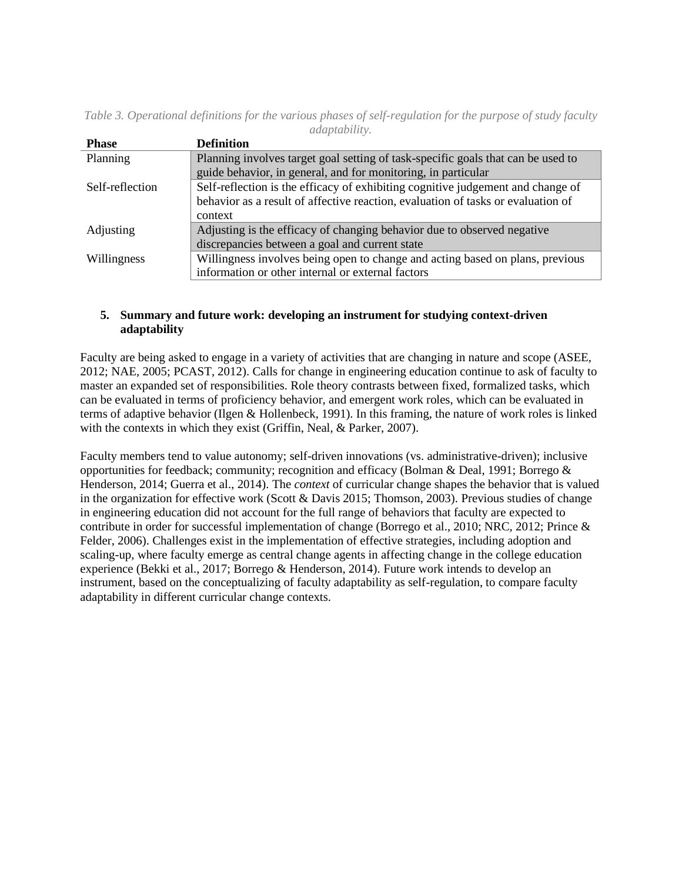| <b>Phase</b>    | <b>Definition</b>                                                                |
|-----------------|----------------------------------------------------------------------------------|
| Planning        | Planning involves target goal setting of task-specific goals that can be used to |
|                 | guide behavior, in general, and for monitoring, in particular                    |
| Self-reflection | Self-reflection is the efficacy of exhibiting cognitive judgement and change of  |
|                 | behavior as a result of affective reaction, evaluation of tasks or evaluation of |
|                 | context                                                                          |
| Adjusting       | Adjusting is the efficacy of changing behavior due to observed negative          |
|                 | discrepancies between a goal and current state                                   |
| Willingness     | Willingness involves being open to change and acting based on plans, previous    |
|                 | information or other internal or external factors                                |

*Table 3. Operational definitions for the various phases of self-regulation for the purpose of study faculty adaptability.* 

## **5. Summary and future work: developing an instrument for studying context-driven adaptability**

Faculty are being asked to engage in a variety of activities that are changing in nature and scope (ASEE, 2012; NAE, 2005; PCAST, 2012). Calls for change in engineering education continue to ask of faculty to master an expanded set of responsibilities. Role theory contrasts between fixed, formalized tasks, which can be evaluated in terms of proficiency behavior, and emergent work roles, which can be evaluated in terms of adaptive behavior (Ilgen & Hollenbeck, 1991). In this framing, the nature of work roles is linked with the contexts in which they exist (Griffin, Neal, & Parker, 2007).

Faculty members tend to value autonomy; self-driven innovations (vs. administrative-driven); inclusive opportunities for feedback; community; recognition and efficacy (Bolman & Deal, 1991; Borrego & Henderson, 2014; Guerra et al., 2014). The *context* of curricular change shapes the behavior that is valued in the organization for effective work (Scott & Davis 2015; Thomson, 2003). Previous studies of change in engineering education did not account for the full range of behaviors that faculty are expected to contribute in order for successful implementation of change (Borrego et al., 2010; NRC, 2012; Prince & Felder, 2006). Challenges exist in the implementation of effective strategies, including adoption and scaling-up, where faculty emerge as central change agents in affecting change in the college education experience (Bekki et al., 2017; Borrego & Henderson, 2014). Future work intends to develop an instrument, based on the conceptualizing of faculty adaptability as self-regulation, to compare faculty adaptability in different curricular change contexts.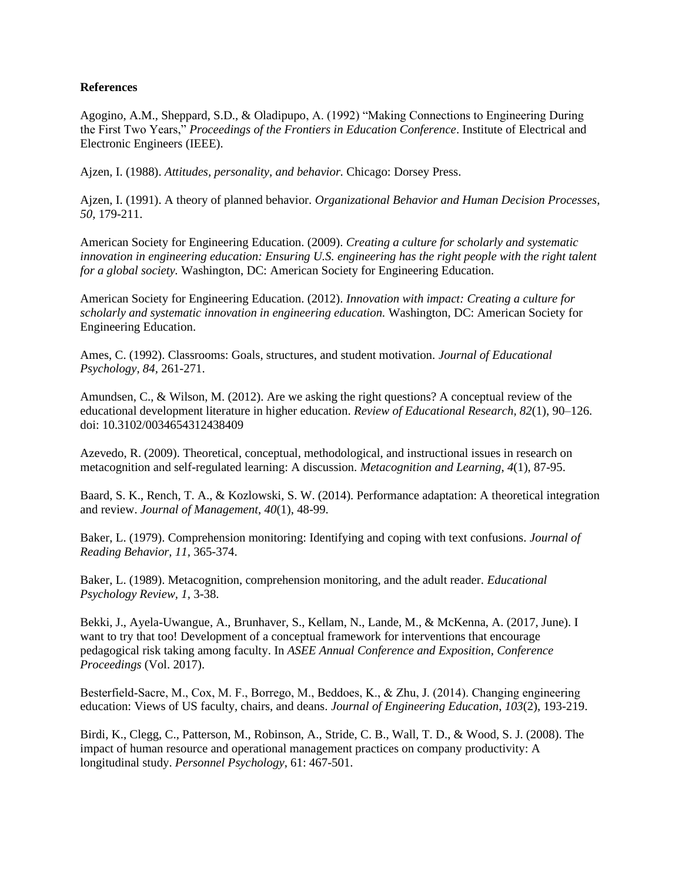## **References**

Agogino, A.M., Sheppard, S.D., & Oladipupo, A. (1992) "Making Connections to Engineering During the First Two Years," *Proceedings of the Frontiers in Education Conference*. Institute of Electrical and Electronic Engineers (IEEE).

Ajzen, I. (1988). *Attitudes, personality, and behavior.* Chicago: Dorsey Press.

Ajzen, I. (1991). A theory of planned behavior. *Organizational Behavior and Human Decision Processes, 50,* 179-211.

American Society for Engineering Education. (2009). *Creating a culture for scholarly and systematic innovation in engineering education: Ensuring U.S. engineering has the right people with the right talent for a global society.* Washington, DC: American Society for Engineering Education.

American Society for Engineering Education. (2012). *Innovation with impact: Creating a culture for scholarly and systematic innovation in engineering education.* Washington, DC: American Society for Engineering Education.

Ames, C. (1992). Classrooms: Goals, structures, and student motivation. *Journal of Educational Psychology, 84,* 261-271.

Amundsen, C., & Wilson, M. (2012). Are we asking the right questions? A conceptual review of the educational development literature in higher education. *Review of Educational Research, 82*(1), 90–126. doi: 10.3102/0034654312438409

Azevedo, R. (2009). Theoretical, conceptual, methodological, and instructional issues in research on metacognition and self-regulated learning: A discussion. *Metacognition and Learning*, *4*(1), 87-95.

Baard, S. K., Rench, T. A., & Kozlowski, S. W. (2014). Performance adaptation: A theoretical integration and review. *Journal of Management*, *40*(1), 48-99.

Baker, L. (1979). Comprehension monitoring: Identifying and coping with text confusions. *Journal of Reading Behavior, 11,* 365-374.

Baker, L. (1989). Metacognition, comprehension monitoring, and the adult reader. *Educational Psychology Review, 1,* 3-38.

Bekki, J., Ayela-Uwangue, A., Brunhaver, S., Kellam, N., Lande, M., & McKenna, A. (2017, June). I want to try that too! Development of a conceptual framework for interventions that encourage pedagogical risk taking among faculty. In *ASEE Annual Conference and Exposition, Conference Proceedings* (Vol. 2017).

Besterfield-Sacre, M., Cox, M. F., Borrego, M., Beddoes, K., & Zhu, J. (2014). Changing engineering education: Views of US faculty, chairs, and deans. *Journal of Engineering Education*, *103*(2), 193-219.

Birdi, K., Clegg, C., Patterson, M., Robinson, A., Stride, C. B., Wall, T. D., & Wood, S. J. (2008). The impact of human resource and operational management practices on company productivity: A longitudinal study. *Personnel Psychology*, 61: 467-501.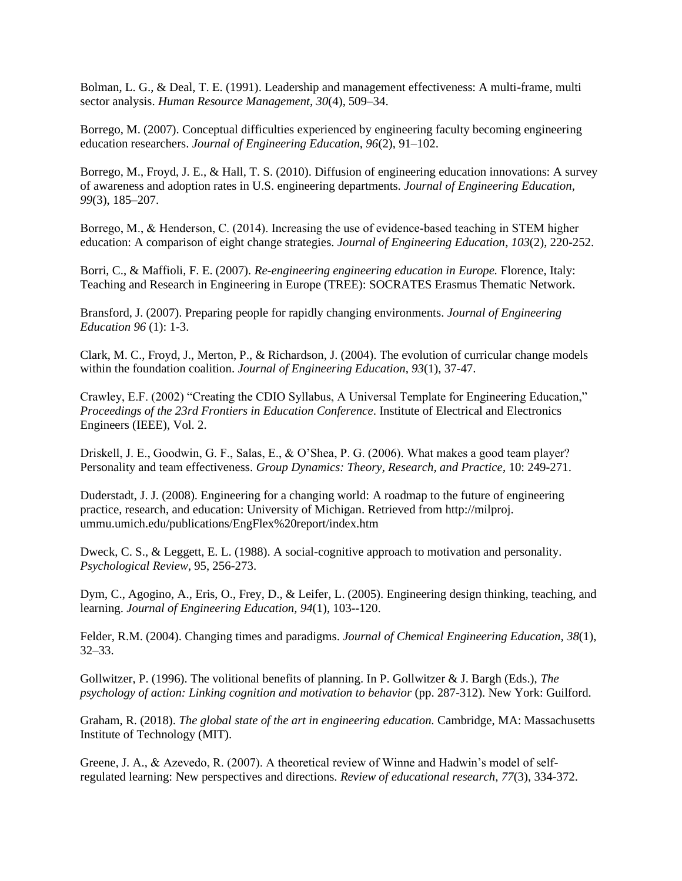Bolman, L. G., & Deal, T. E. (1991). Leadership and management effectiveness: A multi-frame, multi sector analysis. *Human Resource Management, 30*(4), 509–34.

Borrego, M. (2007). Conceptual difficulties experienced by engineering faculty becoming engineering education researchers. *Journal of Engineering Education, 96*(2), 91–102.

Borrego, M., Froyd, J. E., & Hall, T. S. (2010). Diffusion of engineering education innovations: A survey of awareness and adoption rates in U.S. engineering departments. *Journal of Engineering Education, 99*(3), 185–207.

Borrego, M., & Henderson, C. (2014). Increasing the use of evidence-based teaching in STEM higher education: A comparison of eight change strategies. *Journal of Engineering Education*, *103*(2), 220-252.

Borri, C., & Maffioli, F. E. (2007). *Re-engineering engineering education in Europe.* Florence, Italy: Teaching and Research in Engineering in Europe (TREE): SOCRATES Erasmus Thematic Network.

Bransford, J. (2007). Preparing people for rapidly changing environments. *Journal of Engineering Education 96* (1): 1-3.

Clark, M. C., Froyd, J., Merton, P., & Richardson, J. (2004). The evolution of curricular change models within the foundation coalition. *Journal of Engineering Education*, *93*(1), 37-47.

Crawley, E.F. (2002) "Creating the CDIO Syllabus, A Universal Template for Engineering Education," *Proceedings of the 23rd Frontiers in Education Conference*. Institute of Electrical and Electronics Engineers (IEEE), Vol. 2.

Driskell, J. E., Goodwin, G. F., Salas, E., & O'Shea, P. G. (2006). What makes a good team player? Personality and team effectiveness. *Group Dynamics: Theory, Research, and Practice*, 10: 249-271.

Duderstadt, J. J. (2008). Engineering for a changing world: A roadmap to the future of engineering practice, research, and education: University of Michigan. Retrieved from http://milproj. ummu.umich.edu/publications/EngFlex%20report/index.htm

Dweck, C. S., & Leggett, E. L. (1988). A social-cognitive approach to motivation and personality. *Psychological Review,* 95, 256-273.

Dym, C., Agogino, A., Eris, O., Frey, D., & Leifer, L. (2005). Engineering design thinking, teaching, and learning. *Journal of Engineering Education, 94*(1), 103--120.

Felder, R.M. (2004). Changing times and paradigms. *Journal of Chemical Engineering Education, 38*(1), 32–33.

Gollwitzer, P. (1996). The volitional benefits of planning. In P. Gollwitzer & J. Bargh (Eds.), *The psychology of action: Linking cognition and motivation to behavior* (pp. 287-312). New York: Guilford.

Graham, R. (2018). *The global state of the art in engineering education.* Cambridge, MA: Massachusetts Institute of Technology (MIT).

Greene, J. A., & Azevedo, R. (2007). A theoretical review of Winne and Hadwin's model of selfregulated learning: New perspectives and directions. *Review of educational research*, *77*(3), 334-372.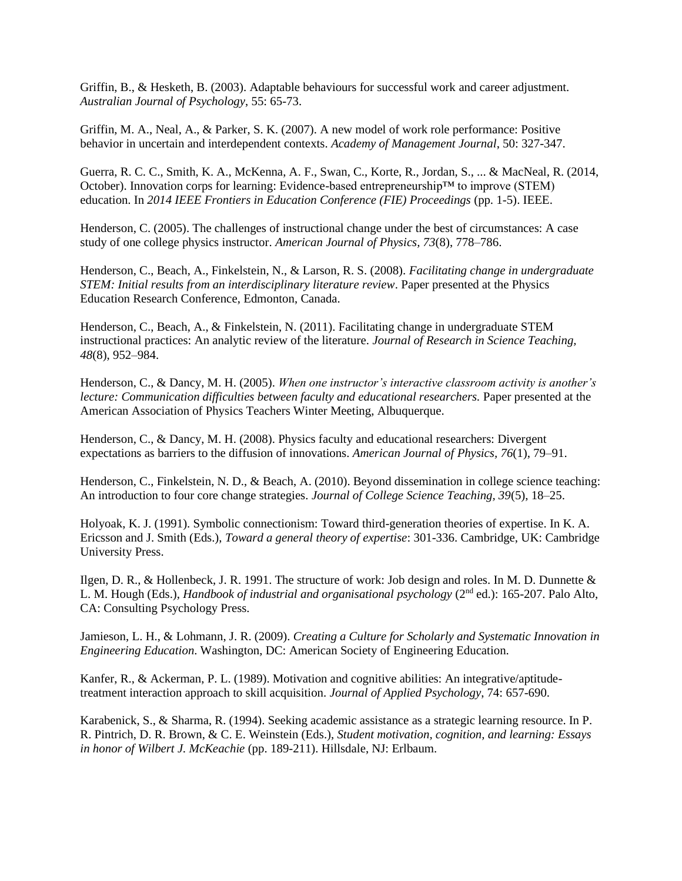Griffin, B., & Hesketh, B. (2003). Adaptable behaviours for successful work and career adjustment. *Australian Journal of Psychology*, 55: 65-73.

Griffin, M. A., Neal, A., & Parker, S. K. (2007). A new model of work role performance: Positive behavior in uncertain and interdependent contexts. *Academy of Management Journal*, 50: 327-347.

Guerra, R. C. C., Smith, K. A., McKenna, A. F., Swan, C., Korte, R., Jordan, S., ... & MacNeal, R. (2014, October). Innovation corps for learning: Evidence-based entrepreneurship™ to improve (STEM) education. In *2014 IEEE Frontiers in Education Conference (FIE) Proceedings* (pp. 1-5). IEEE.

Henderson, C. (2005). The challenges of instructional change under the best of circumstances: A case study of one college physics instructor. *American Journal of Physics, 73*(8), 778–786.

Henderson, C., Beach, A., Finkelstein, N., & Larson, R. S. (2008). *Facilitating change in undergraduate STEM: Initial results from an interdisciplinary literature review*. Paper presented at the Physics Education Research Conference, Edmonton, Canada.

Henderson, C., Beach, A., & Finkelstein, N. (2011). Facilitating change in undergraduate STEM instructional practices: An analytic review of the literature. *Journal of Research in Science Teaching, 48*(8), 952–984.

Henderson, C., & Dancy, M. H. (2005). *When one instructor's interactive classroom activity is another's lecture: Communication difficulties between faculty and educational researchers.* Paper presented at the American Association of Physics Teachers Winter Meeting, Albuquerque.

Henderson, C., & Dancy, M. H. (2008). Physics faculty and educational researchers: Divergent expectations as barriers to the diffusion of innovations. *American Journal of Physics, 76*(1), 79–91.

Henderson, C., Finkelstein, N. D., & Beach, A. (2010). Beyond dissemination in college science teaching: An introduction to four core change strategies. *Journal of College Science Teaching, 39*(5), 18–25.

Holyoak, K. J. (1991). Symbolic connectionism: Toward third-generation theories of expertise. In K. A. Ericsson and J. Smith (Eds.), *Toward a general theory of expertise*: 301-336. Cambridge, UK: Cambridge University Press.

Ilgen, D. R., & Hollenbeck, J. R. 1991. The structure of work: Job design and roles. In M. D. Dunnette & L. M. Hough (Eds.), *Handbook of industrial and organisational psychology* (2nd ed.): 165-207. Palo Alto, CA: Consulting Psychology Press.

Jamieson, L. H., & Lohmann, J. R. (2009). *Creating a Culture for Scholarly and Systematic Innovation in Engineering Education*. Washington, DC: American Society of Engineering Education.

Kanfer, R., & Ackerman, P. L. (1989). Motivation and cognitive abilities: An integrative/aptitudetreatment interaction approach to skill acquisition. *Journal of Applied Psychology*, 74: 657-690.

Karabenick, S., & Sharma, R. (1994). Seeking academic assistance as a strategic learning resource. In P. R. Pintrich, D. R. Brown, & C. E. Weinstein (Eds.), *Student motivation, cognition, and learning: Essays in honor of Wilbert J. McKeachie* (pp. 189-211). Hillsdale, NJ: Erlbaum.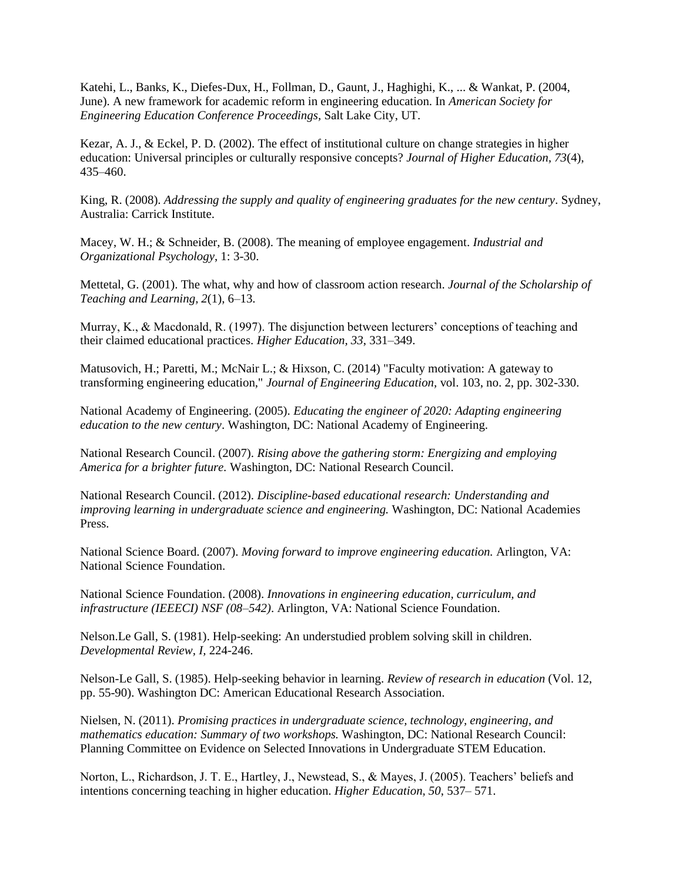Katehi, L., Banks, K., Diefes-Dux, H., Follman, D., Gaunt, J., Haghighi, K., ... & Wankat, P. (2004, June). A new framework for academic reform in engineering education. In *American Society for Engineering Education Conference Proceedings,* Salt Lake City, UT.

Kezar, A. J., & Eckel, P. D. (2002). The effect of institutional culture on change strategies in higher education: Universal principles or culturally responsive concepts? *Journal of Higher Education, 73*(4), 435–460.

King, R. (2008). *Addressing the supply and quality of engineering graduates for the new century*. Sydney, Australia: Carrick Institute.

Macey, W. H.; & Schneider, B. (2008). The meaning of employee engagement. *Industrial and Organizational Psychology*, 1: 3-30.

Mettetal, G. (2001). The what, why and how of classroom action research. *Journal of the Scholarship of Teaching and Learning, 2*(1), 6–13.

Murray, K., & Macdonald, R. (1997). The disjunction between lecturers' conceptions of teaching and their claimed educational practices. *Higher Education, 33*, 331–349.

Matusovich, H.; Paretti, M.; McNair L.; & Hixson, C. (2014) "Faculty motivation: A gateway to transforming engineering education," *Journal of Engineering Education,* vol. 103, no. 2, pp. 302-330.

National Academy of Engineering. (2005). *Educating the engineer of 2020: Adapting engineering education to the new century*. Washington, DC: National Academy of Engineering.

National Research Council. (2007). *Rising above the gathering storm: Energizing and employing America for a brighter future.* Washington, DC: National Research Council.

National Research Council. (2012). *Discipline-based educational research: Understanding and improving learning in undergraduate science and engineering.* Washington, DC: National Academies Press.

National Science Board. (2007). *Moving forward to improve engineering education.* Arlington, VA: National Science Foundation.

National Science Foundation. (2008). *Innovations in engineering education, curriculum, and infrastructure (IEEECI) NSF (08–542)*. Arlington, VA: National Science Foundation.

Nelson.Le Gall, S. (1981). Help-seeking: An understudied problem solving skill in children. *Developmental Review, I,* 224-246.

Nelson-Le Gall, S. (1985). Help-seeking behavior in learning. *Review of research in education* (Vol. 12, pp. 55-90). Washington DC: American Educational Research Association.

Nielsen, N. (2011). *Promising practices in undergraduate science, technology, engineering, and mathematics education: Summary of two workshops.* Washington, DC: National Research Council: Planning Committee on Evidence on Selected Innovations in Undergraduate STEM Education.

Norton, L., Richardson, J. T. E., Hartley, J., Newstead, S., & Mayes, J. (2005). Teachers' beliefs and intentions concerning teaching in higher education. *Higher Education, 50*, 537– 571.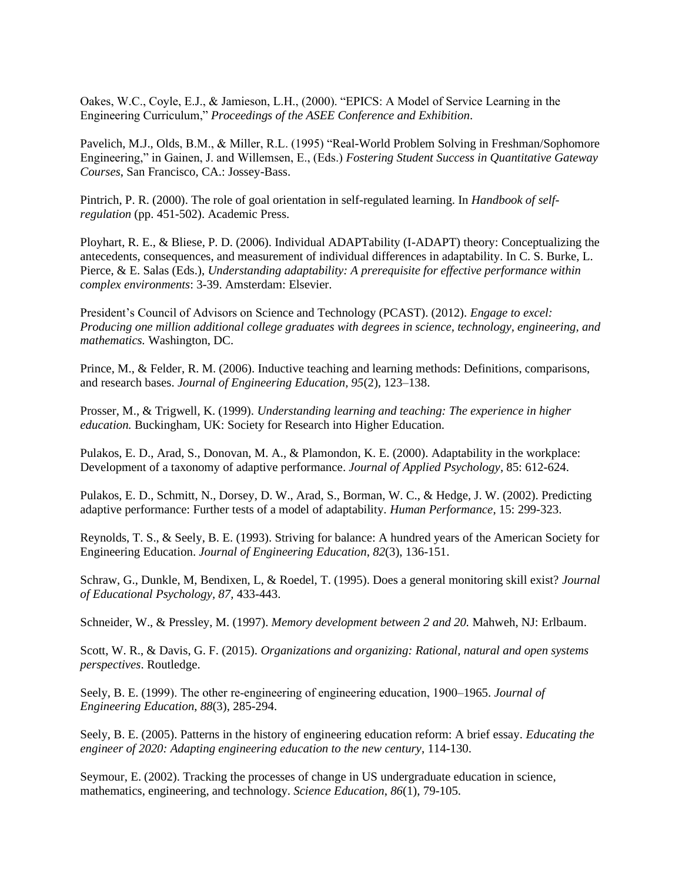Oakes, W.C., Coyle, E.J., & Jamieson, L.H., (2000). "EPICS: A Model of Service Learning in the Engineering Curriculum," *Proceedings of the ASEE Conference and Exhibition*.

Pavelich, M.J., Olds, B.M., & Miller, R.L. (1995) "Real-World Problem Solving in Freshman/Sophomore Engineering," in Gainen, J. and Willemsen, E., (Eds.) *Fostering Student Success in Quantitative Gateway Courses*, San Francisco, CA.: Jossey-Bass.

Pintrich, P. R. (2000). The role of goal orientation in self-regulated learning. In *Handbook of selfregulation* (pp. 451-502). Academic Press.

Ployhart, R. E., & Bliese, P. D. (2006). Individual ADAPTability (I-ADAPT) theory: Conceptualizing the antecedents, consequences, and measurement of individual differences in adaptability. In C. S. Burke, L. Pierce, & E. Salas (Eds.), *Understanding adaptability: A prerequisite for effective performance within complex environments*: 3-39. Amsterdam: Elsevier.

President's Council of Advisors on Science and Technology (PCAST). (2012). *Engage to excel: Producing one million additional college graduates with degrees in science, technology, engineering, and mathematics.* Washington, DC.

Prince, M., & Felder, R. M. (2006). Inductive teaching and learning methods: Definitions, comparisons, and research bases. *Journal of Engineering Education, 95*(2), 123–138.

Prosser, M., & Trigwell, K. (1999). *Understanding learning and teaching: The experience in higher education.* Buckingham, UK: Society for Research into Higher Education.

Pulakos, E. D., Arad, S., Donovan, M. A., & Plamondon, K. E. (2000). Adaptability in the workplace: Development of a taxonomy of adaptive performance. *Journal of Applied Psychology*, 85: 612-624.

Pulakos, E. D., Schmitt, N., Dorsey, D. W., Arad, S., Borman, W. C., & Hedge, J. W. (2002). Predicting adaptive performance: Further tests of a model of adaptability. *Human Performance*, 15: 299-323.

Reynolds, T. S., & Seely, B. E. (1993). Striving for balance: A hundred years of the American Society for Engineering Education. *Journal of Engineering Education*, *82*(3), 136-151.

Schraw, G., Dunkle, M, Bendixen, L, & Roedel, T. (1995). Does a general monitoring skill exist? *Journal of Educational Psychology, 87,* 433-443.

Schneider, W., & Pressley, M. (1997). *Memory development between 2 and 20.* Mahweh, NJ: Erlbaum.

Scott, W. R., & Davis, G. F. (2015). *Organizations and organizing: Rational, natural and open systems perspectives*. Routledge.

Seely, B. E. (1999). The other re‐engineering of engineering education, 1900–1965. *Journal of Engineering Education*, *88*(3), 285-294.

Seely, B. E. (2005). Patterns in the history of engineering education reform: A brief essay. *Educating the engineer of 2020: Adapting engineering education to the new century*, 114-130.

Seymour, E. (2002). Tracking the processes of change in US undergraduate education in science, mathematics, engineering, and technology. *Science Education*, *86*(1), 79-105.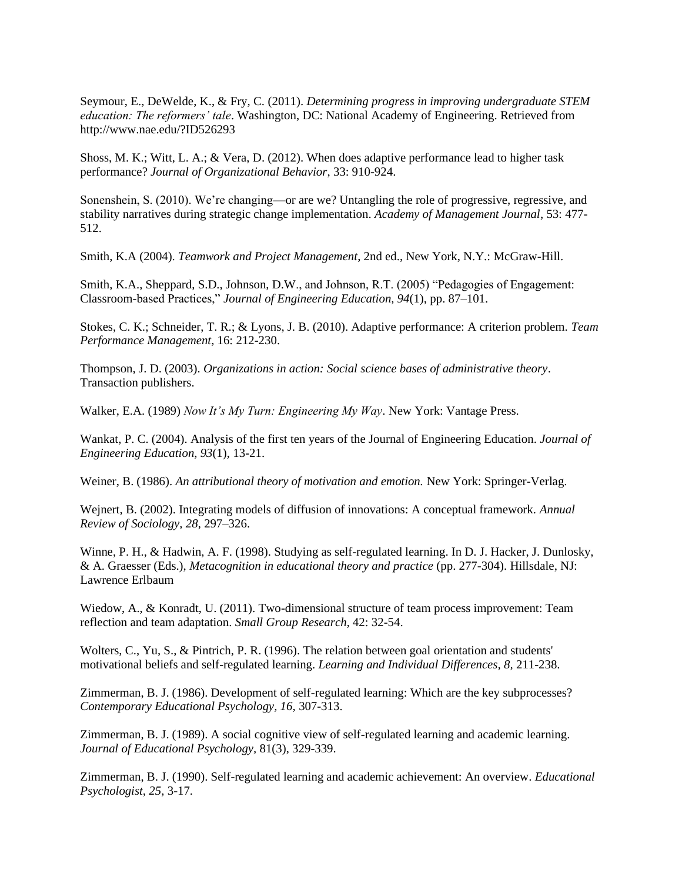Seymour, E., DeWelde, K., & Fry, C. (2011). *Determining progress in improving undergraduate STEM education: The reformers' tale*. Washington, DC: National Academy of Engineering. Retrieved from http://www.nae.edu/?ID526293

Shoss, M. K.; Witt, L. A.; & Vera, D. (2012). When does adaptive performance lead to higher task performance? *Journal of Organizational Behavior*, 33: 910-924.

Sonenshein, S. (2010). We're changing—or are we? Untangling the role of progressive, regressive, and stability narratives during strategic change implementation. *Academy of Management Journal*, 53: 477- 512.

Smith, K.A (2004). *Teamwork and Project Management*, 2nd ed., New York, N.Y.: McGraw-Hill.

Smith, K.A., Sheppard, S.D., Johnson, D.W., and Johnson, R.T. (2005) "Pedagogies of Engagement: Classroom-based Practices," *Journal of Engineering Education, 94*(1), pp. 87–101.

Stokes, C. K.; Schneider, T. R.; & Lyons, J. B. (2010). Adaptive performance: A criterion problem. *Team Performance Management*, 16: 212-230.

Thompson, J. D. (2003). *Organizations in action: Social science bases of administrative theory*. Transaction publishers.

Walker, E.A. (1989) *Now It's My Turn: Engineering My Way*. New York: Vantage Press.

Wankat, P. C. (2004). Analysis of the first ten years of the Journal of Engineering Education. *Journal of Engineering Education*, *93*(1), 13-21.

Weiner, B. (1986). *An attributional theory of motivation and emotion.* New York: Springer-Verlag.

Wejnert, B. (2002). Integrating models of diffusion of innovations: A conceptual framework. *Annual Review of Sociology, 28*, 297–326.

Winne, P. H., & Hadwin, A. F. (1998). Studying as self-regulated learning. In D. J. Hacker, J. Dunlosky, & A. Graesser (Eds.), *Metacognition in educational theory and practice* (pp. 277-304). Hillsdale, NJ: Lawrence Erlbaum

Wiedow, A., & Konradt, U. (2011). Two-dimensional structure of team process improvement: Team reflection and team adaptation. *Small Group Research*, 42: 32-54.

Wolters, C., Yu, S., & Pintrich, P. R. (1996). The relation between goal orientation and students' motivational beliefs and self-regulated learning. *Learning and Individual Differences, 8,* 211-238.

Zimmerman, B. J. (1986). Development of self-regulated learning: Which are the key subprocesses? *Contemporary Educational Psychology, 16,* 307-313.

Zimmerman, B. J. (1989). A social cognitive view of self-regulated learning and academic learning. *Journal of Educational Psychology,* 81(3), 329-339.

Zimmerman, B. J. (1990). Self-regulated learning and academic achievement: An overview. *Educational Psychologist, 25,* 3-17.